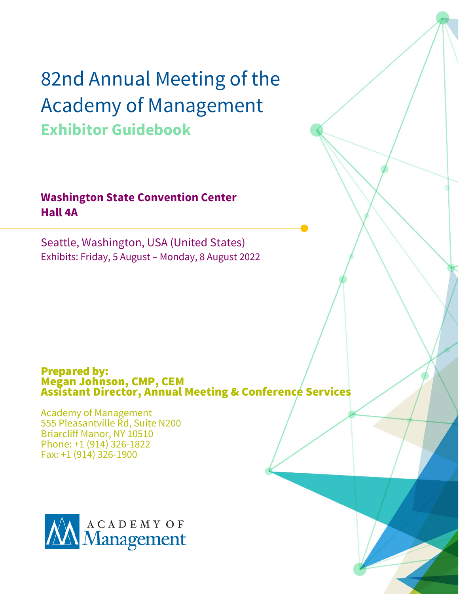# 82nd Annual Meeting of the Academy of Management **Exhibitor Guidebook**

### **Washington State Convention Center Hall 4A**

Seattle, Washington, USA (United States) Exhibits: Friday, 5 August – Monday, 8 August 2022

### Prepared by: Megan Johnson, CMP, CEM Assistant Director, Annual Meeting & Conference Services

Academy of Management 555 Pleasantville Rd, Suite N200 Briarcliff Manor, NY 10510 Phone: +1 (914) 326-1822 Fax: +1 (914) 326-1900

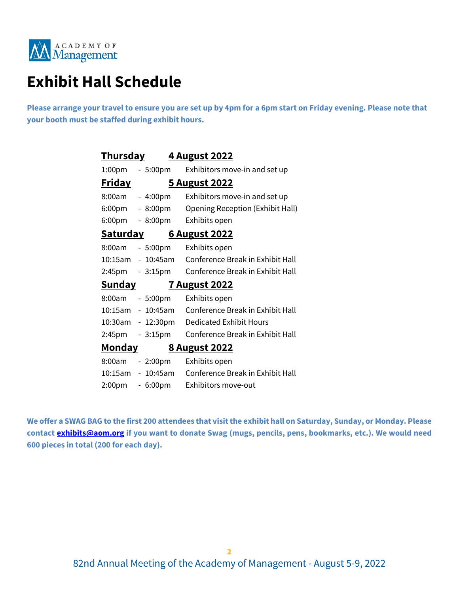

### **Exhibit Hall Schedule**

**Please arrange your travel to ensure you are set up by 4pm for a 6pm start on Friday evening. Please note that your booth must be staffed during exhibit hours.**

| Th <u>ursday</u>                        |                   | <u>4 August 2022</u>             |
|-----------------------------------------|-------------------|----------------------------------|
| 1:00pm                                  | $-5:00pm$         | Exhibitors move-in and set up    |
| <u>Friday</u><br><u>5 August 2022</u>   |                   |                                  |
| 8:00am                                  | $-4:00pm$         | Exhibitors move-in and set up    |
| 6:00pm                                  | $-8:00 \text{pm}$ | Opening Reception (Exhibit Hall) |
| 6:00pm                                  | $-8:00pm$         | Exhibits open                    |
| <u>Saturday</u><br><u>6 August 2022</u> |                   |                                  |
| 8:00am                                  | - 5:00pm          | Exhibits open                    |
| 10:15am                                 | $-10:45am$        | Conference Break in Exhibit Hall |
| 2:45pm                                  | $-3:15pm$         | Conference Break in Exhibit Hall |
| <u>Sunday</u><br><u>7 August 2022</u>   |                   |                                  |
| 8:00am                                  | $-5:00pm$         | Exhibits open                    |
|                                         | 10:15am - 10:45am | Conference Break in Exhibit Hall |
|                                         | 10:30am - 12:30pm | <b>Dedicated Exhibit Hours</b>   |
| 2:45pm                                  | $-3:15pm$         | Conference Break in Exhibit Hall |
| <u>Monday</u><br><u>8 August 2022</u>   |                   |                                  |
| 8:00am                                  | $-2:00 \text{pm}$ | Exhibits open                    |
| 10:15am                                 | - 10:45am         | Conference Break in Exhibit Hall |
| 2:00pm                                  | $-6:00pm$         | Exhibitors move-out              |

<span id="page-1-0"></span>**We offer a SWAG BAG to the first 200 attendees that visit the exhibit hall on Saturday, Sunday, or Monday. Please contac[t exhibits@aom.org](mailto:exhibits@aom.org) if you want to donate Swag (mugs, pencils, pens, bookmarks, etc.). We would need 600 pieces in total (200 for each day).**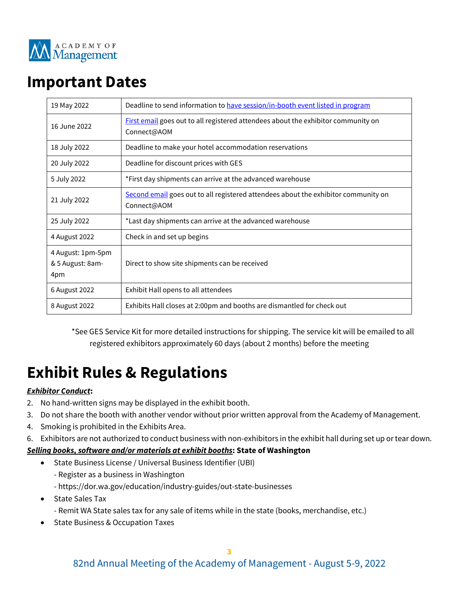

### **Important Dates**

| 19 May 2022                                  | Deadline to send information to have session/in-booth event listed in program                     |  |
|----------------------------------------------|---------------------------------------------------------------------------------------------------|--|
| 16 June 2022                                 | First email goes out to all registered attendees about the exhibitor community on<br>Connect@AOM  |  |
| 18 July 2022                                 | Deadline to make your hotel accommodation reservations                                            |  |
| 20 July 2022                                 | Deadline for discount prices with GES                                                             |  |
| 5 July 2022                                  | *First day shipments can arrive at the advanced warehouse                                         |  |
| 21 July 2022                                 | Second email goes out to all registered attendees about the exhibitor community on<br>Connect@AOM |  |
| 25 July 2022                                 | *Last day shipments can arrive at the advanced warehouse                                          |  |
| 4 August 2022                                | Check in and set up begins                                                                        |  |
| 4 August: 1pm-5pm<br>& 5 August: 8am-<br>4pm | Direct to show site shipments can be received                                                     |  |
| 6 August 2022                                | Exhibit Hall opens to all attendees                                                               |  |
| 8 August 2022                                | Exhibits Hall closes at 2:00pm and booths are dismantled for check out                            |  |

\*See GES Service Kit for more detailed instructions for shipping. The service kit will be emailed to all registered exhibitors approximately 60 days (about 2 months) before the meeting

## **Exhibit Rules & Regulations**

#### *Exhibitor Conduct***:**

- 2. No hand-written signs may be displayed in the exhibit booth.
- 3. Do not share the booth with another vendor without prior written approval from the Academy of Management.
- 4. Smoking is prohibited in the Exhibits Area.
- 6. Exhibitors are not authorized to conduct business with non-exhibitors in the exhibit hall during set up or tear down.

#### *Selling books, software and/or materials at exhibit booths***: State of Washington**

- State Business License / Universal Business Identifier (UBI)
	- Register as a business in Washington
	- https://dor.wa.gov/education/industry-guides/out-state-businesses
- State Sales Tax
	- Remit WA State sales tax for any sale of items while in the state (books, merchandise, etc.)
- State Business & Occupation Taxes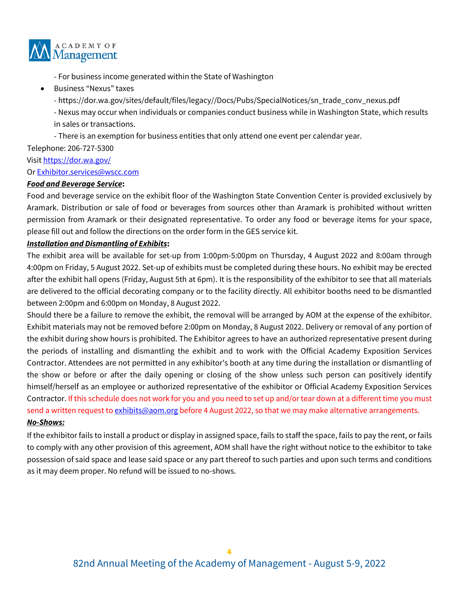

- For business income generated within the State of Washington

- Business "Nexus" taxes
	- https://dor.wa.gov/sites/default/files/legacy//Docs/Pubs/SpecialNotices/sn\_trade\_conv\_nexus.pdf

- Nexus may occur when individuals or companies conduct business while in Washington State, which results in sales or transactions.

- There is an exemption for business entities that only attend one event per calendar year.

Telephone: 206-727-5300

Visit <https://dor.wa.gov/>

O[r Exhibitor.services@wscc.com](mailto:Exhibitor.services@wscc.com) 

#### *Food and Beverage Service***:**

Food and beverage service on the exhibit floor of the Washington State Convention Center is provided exclusively by Aramark. Distribution or sale of food or beverages from sources other than Aramark is prohibited without written permission from Aramark or their designated representative. To order any food or beverage items for your space, please fill out and follow the directions on the order form in the GES service kit.

#### *Installation and Dismantling of Exhibits***:**

The exhibit area will be available for set-up from 1:00pm-5:00pm on Thursday, 4 August 2022 and 8:00am through 4:00pm on Friday, 5 August 2022. Set-up of exhibits must be completed during these hours. No exhibit may be erected after the exhibit hall opens (Friday, August 5th at 6pm). It is the responsibility of the exhibitor to see that all materials are delivered to the official decorating company or to the facility directly. All exhibitor booths need to be dismantled between 2:00pm and 6:00pm on Monday, 8 August 2022.

Should there be a failure to remove the exhibit, the removal will be arranged by AOM at the expense of the exhibitor. Exhibit materials may not be removed before 2:00pm on Monday, 8 August 2022. Delivery or removal of any portion of the exhibit during show hours is prohibited. The Exhibitor agrees to have an authorized representative present during the periods of installing and dismantling the exhibit and to work with the Official Academy Exposition Services Contractor. Attendees are not permitted in any exhibitor's booth at any time during the installation or dismantling of the show or before or after the daily opening or closing of the show unless such person can positively identify himself/herself as an employee or authorized representative of the exhibitor or Official Academy Exposition Services Contractor. If this schedule does not work for you and you need to set up and/or tear down at a different time you must send a written request to [exhibits@aom.org](mailto:exhibits@aom.org) before 4 August 2022, so that we may make alternative arrangements. *No-Shows:* 

If the exhibitor fails to install a product or display in assigned space, fails to staff the space, fails to pay the rent, or fails to comply with any other provision of this agreement, AOM shall have the right without notice to the exhibitor to take possession of said space and lease said space or any part thereof to such parties and upon such terms and conditions as it may deem proper. No refund will be issued to no-shows.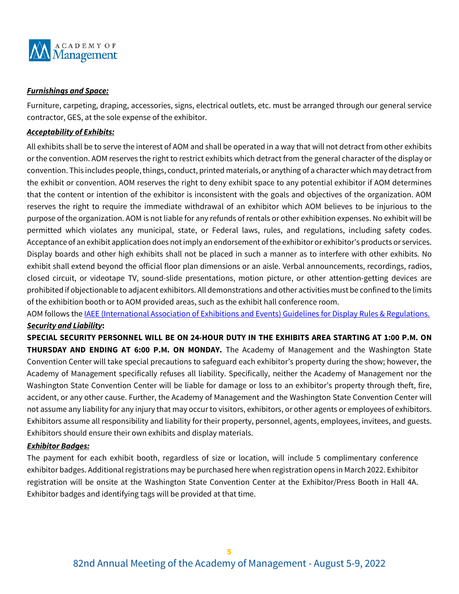

#### *Furnishings and Space:*

Furniture, carpeting, draping, accessories, signs, electrical outlets, etc. must be arranged through our general service contractor, GES, at the sole expense of the exhibitor.

#### *Acceptability of Exhibits:*

All exhibits shall be to serve the interest of AOM and shall be operated in a way that will not detract from other exhibits or the convention. AOM reserves the right to restrict exhibits which detract from the general character of the display or convention. This includes people, things, conduct, printed materials, or anything of a character which may detract from the exhibit or convention. AOM reserves the right to deny exhibit space to any potential exhibitor if AOM determines that the content or intention of the exhibitor is inconsistent with the goals and objectives of the organization. AOM reserves the right to require the immediate withdrawal of an exhibitor which AOM believes to be injurious to the purpose of the organization. AOM is not liable for any refunds of rentals or other exhibition expenses. No exhibit will be permitted which violates any municipal, state, or Federal laws, rules, and regulations, including safety codes. Acceptance of an exhibit application does not imply an endorsement of the exhibitor or exhibitor's products or services. Display boards and other high exhibits shall not be placed in such a manner as to interfere with other exhibits. No exhibit shall extend beyond the official floor plan dimensions or an aisle. Verbal announcements, recordings, radios, closed circuit, or videotape TV, sound-slide presentations, motion picture, or other attention-getting devices are prohibited if objectionable to adjacent exhibitors. All demonstrations and other activities must be confined to the limits of the exhibition booth or to AOM provided areas, such as the exhibit hall conference room.

AOM follows th[e IAEE \(International Association of Exhibitions and Events\)](https://aom.org/docs/default-source/events/aom-2022/guidelinesfordisplayrules.pdf?sfvrsn=754d71bc_2) Guidelines for Display Rules & Regulations. *Security and Liability***:**

**SPECIAL SECURITY PERSONNEL WILL BE ON 24-HOUR DUTY IN THE EXHIBITS AREA STARTING AT 1:00 P.M. ON THURSDAY AND ENDING AT 6:00 P.M. ON MONDAY.** The Academy of Management and the Washington State Convention Center will take special precautions to safeguard each exhibitor's property during the show; however, the Academy of Management specifically refuses all liability. Specifically, neither the Academy of Management nor the Washington State Convention Center will be liable for damage or loss to an exhibitor's property through theft, fire, accident, or any other cause. Further, the Academy of Management and the Washington State Convention Center will not assume any liability for any injury that may occur to visitors, exhibitors, or other agents or employees of exhibitors. Exhibitors assume all responsibility and liability for their property, personnel, agents, employees, invitees, and guests. Exhibitors should ensure their own exhibits and display materials.

#### *Exhibitor Badges:*

The payment for each exhibit booth, regardless of size or location, will include 5 complimentary conference exhibitor badges. Additional registrations may be purchased here when registration opens in March 2022. Exhibitor registration will be onsite at the Washington State Convention Center at the Exhibitor/Press Booth in Hall 4A. Exhibitor badges and identifying tags will be provided at that time.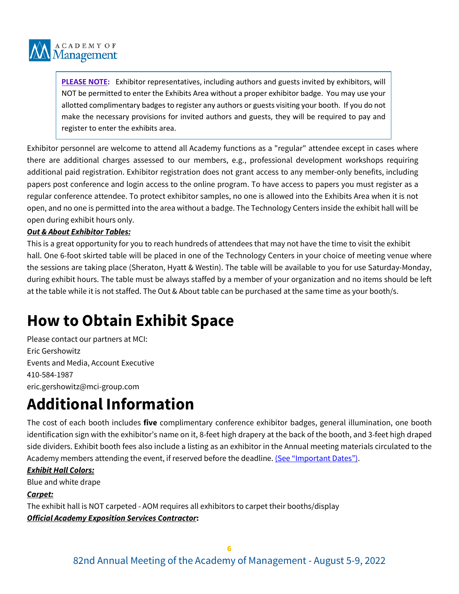

**PLEASE NOTE:** Exhibitor representatives, including authors and guests invited by exhibitors, will NOT be permitted to enter the Exhibits Area without a proper exhibitor badge. You may use your allotted complimentary badges to register any authors or guests visiting your booth. If you do not make the necessary provisions for invited authors and guests, they will be required to pay and register to enter the exhibits area.

Exhibitor personnel are welcome to attend all Academy functions as a "regular" attendee except in cases where there are additional charges assessed to our members, e.g., professional development workshops requiring additional paid registration. Exhibitor registration does not grant access to any member-only benefits, including papers post conference and login access to the online program. To have access to papers you must register as a regular conference attendee. To protect exhibitor samples, no one is allowed into the Exhibits Area when it is not open, and no one is permitted into the area without a badge. The Technology Centers inside the exhibit hall will be open during exhibit hours only.

#### *Out & About Exhibitor Tables:*

This is a great opportunity for you to reach hundreds of attendees that may not have the time to visit the exhibit hall. One 6-foot skirted table will be placed in one of the Technology Centers in your choice of meeting venue where the sessions are taking place (Sheraton, Hyatt & Westin). The table will be available to you for use Saturday-Monday, during exhibit hours. The table must be always staffed by a member of your organization and no items should be left at the table while it is not staffed. The Out & About table can be purchased at the same time as your booth/s.

## **How to Obtain Exhibit Space**

Please contact our partners at MCI: Eric Gershowitz Events and Media, Account Executive 410-584-1987 eric.gershowitz@mci-group.com

## **Additional Information**

The cost of each booth includes **five** complimentary conference exhibitor badges, general illumination, one booth identification sign with the exhibitor's name on it, 8-feet high drapery at the back of the booth, and 3-feet high draped side dividers. Exhibit booth fees also include a listing as an exhibitor in the Annual meeting materials circulated to the Academy members attending the event, if reserved before the deadline. [\(See "Important Dates"\).](#page-1-0)

#### *Exhibit Hall Colors:*

Blue and white drape

#### *Carpet:*

The exhibit hall is NOT carpeted - AOM requires all exhibitors to carpet their booths/display *Official Academy Exposition Services Contractor***:**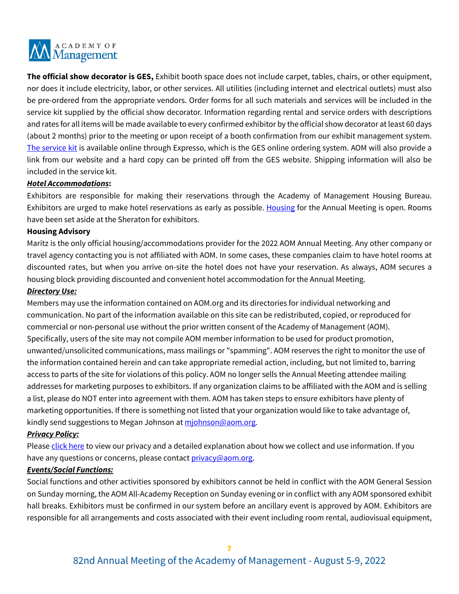

**The official show decorator is GES,** Exhibit booth space does not include carpet, tables, chairs, or other equipment, nor does it include electricity, labor, or other services. All utilities (including internet and electrical outlets) must also be pre-ordered from the appropriate vendors. Order forms for all such materials and services will be included in the service kit supplied by the official show decorator. Information regarding rental and service orders with descriptions and rates for all items will be made available to every confirmed exhibitor by the official show decorator at least 60 days (about 2 months) prior to the meeting or upon receipt of a booth confirmation from our exhibit management system. [The service kit](https://ordering.ges.com/061601777) is available online through Expresso, which is the GES online ordering system. AOM will also provide a link from our website and a hard copy can be printed off from the GES website. Shipping information will also be included in the service kit.

#### *Hotel Accommodations***:**

Exhibitors are responsible for making their reservations through the Academy of Management Housing Bureau. Exhibitors are urged to make hotel reservations as early as possible. [Housing](https://aom.org/events/annual-meeting/registering-and-attending/accommodations) for the Annual Meeting is open. Rooms have been set aside at the Sheraton for exhibitors.

#### **Housing Advisory**

Maritz is the only official housing/accommodations provider for the 2022 AOM Annual Meeting. Any other company or travel agency contacting you is not affiliated with AOM. In some cases, these companies claim to have hotel rooms at discounted rates, but when you arrive on-site the hotel does not have your reservation. As always, AOM secures a housing block providing discounted and convenient hotel accommodation for the Annual Meeting.

#### <span id="page-6-1"></span>*Directory Use:*

Members may use the information contained on AOM.org and its directories for individual networking and communication. No part of the information available on this site can be redistributed, copied, or reproduced for commercial or non-personal use without the prior written consent of the Academy of Management (AOM). Specifically, users of the site may not compile AOM member information to be used for product promotion, unwanted/unsolicited communications, mass mailings or "spamming". AOM reserves the right to monitor the use of the information contained herein and can take appropriate remedial action, including, but not limited to, barring access to parts of the site for violations of this policy. AOM no longer sells the Annual Meeting attendee mailing addresses for marketing purposes to exhibitors. If any organization claims to be affiliated with the AOM and is selling a list, please do NOT enter into agreement with them. AOM has taken steps to ensure exhibitors have plenty of marketing opportunities. If there is something not listed that your organization would like to take advantage of, kindly send suggestions to Megan Johnson at miohnson@aom.org.

#### *Privacy Policy:*

Pleas[e click here](http://aom.org/About-AOM/Privacy-Policy.aspx) to view our privacy and a detailed explanation about how we collect and use information. If you have any questions or concerns, please contact *privacy@aom.org*.

#### <span id="page-6-0"></span>*Events/Social Functions:*

Social functions and other activities sponsored by exhibitors cannot be held in conflict with the AOM General Session on Sunday morning, the AOM All-Academy Reception on Sunday evening or in conflict with any AOM sponsored exhibit hall breaks. Exhibitors must be confirmed in our system before an ancillary event is approved by AOM. Exhibitors are responsible for all arrangements and costs associated with their event including room rental, audiovisual equipment,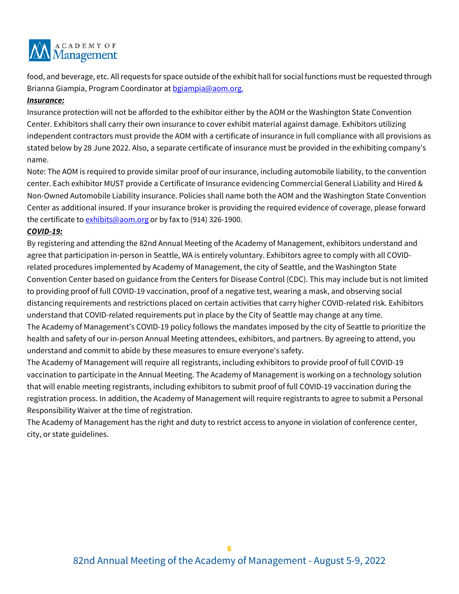

food, and beverage, etc. All requests for space outside of the exhibit hall for social functions must be requested through Brianna Giampia, Program Coordinator at [bgiampia@aom.org.](mailto:bgiampia@aom.org)

#### *Insurance:*

Insurance protection will not be afforded to the exhibitor either by the AOM or the Washington State Convention Center. Exhibitors shall carry their own insurance to cover exhibit material against damage. Exhibitors utilizing independent contractors must provide the AOM with a certificate of insurance in full compliance with all provisions as stated below by 28 June 2022. Also, a separate certificate of insurance must be provided in the exhibiting company's name.

Note: The AOM is required to provide similar proof of our insurance, including automobile liability, to the convention center. Each exhibitor MUST provide a Certificate of Insurance evidencing Commercial General Liability and Hired & Non-Owned Automobile Liability insurance. Policies shall name both the AOM and the Washington State Convention Center as additional insured. If your insurance broker is providing the required evidence of coverage, please forward the certificate to [exhibits@aom.org](mailto:exhibits@aom.org) or by fax to (914) 326-1900.

#### *COVID-19:*

By registering and attending the 82nd Annual Meeting of the Academy of Management, exhibitors understand and agree that participation in-person in Seattle, WA is entirely voluntary. Exhibitors agree to comply with all COVIDrelated procedures implemented by Academy of Management, the city of Seattle, and the Washington State Convention Center based on guidance from the Centers for Disease Control (CDC). This may include but is not limited to providing proof of full COVID-19 vaccination, proof of a negative test, wearing a mask, and observing social distancing requirements and restrictions placed on certain activities that carry higher COVID-related risk. Exhibitors understand that COVID-related requirements put in place by the City of Seattle may change at any time. The Academy of Management's COVID-19 policy follows the mandates imposed by the city of Seattle to prioritize the health and safety of our in-person Annual Meeting attendees, exhibitors, and partners. By agreeing to attend, you understand and commit to abide by these measures to ensure everyone's safety.

The Academy of Management will require all registrants, including exhibitors to provide proof of full COVID-19 vaccination to participate in the Annual Meeting. The Academy of Management is working on a technology solution that will enable meeting registrants, including exhibitors to submit proof of full COVID-19 vaccination during the registration process. In addition, the Academy of Management will require registrants to agree to submit a Personal Responsibility Waiver at the time of registration.

The Academy of Management has the right and duty to restrict access to anyone in violation of conference center, city, or state guidelines.